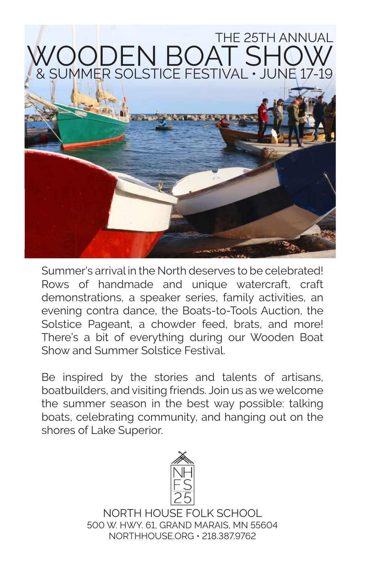## THE 25TH ANNUAL WOODEN BOAT SHOW & SUMMER SOLSTICE FESTIVAL • JUNE 17-19

**TANKER** 

Summer's arrival in the North deserves to be celebrated! Rows of handmade and unique watercraft, craft demonstrations, a speaker series, family activities, an evening contra dance, the Boats-to-Tools Auction, the Solstice Pageant, a chowder feed, brats, and more! There's a bit of everything during our Wooden Boat Show and Summer Solstice Festival.

Be inspired by the stories and talents of artisans, boatbuilders, and visiting friends. Join us as we welcome the summer season in the best way possible: talking boats, celebrating community, and hanging out on the shores of Lake Superior.



NORTH HOUSE FOLK SCHOOL 500 W. HWY. 61, GRAND MARAIS, MN 55604 NORTHHOUSE.ORG • 218.387.9762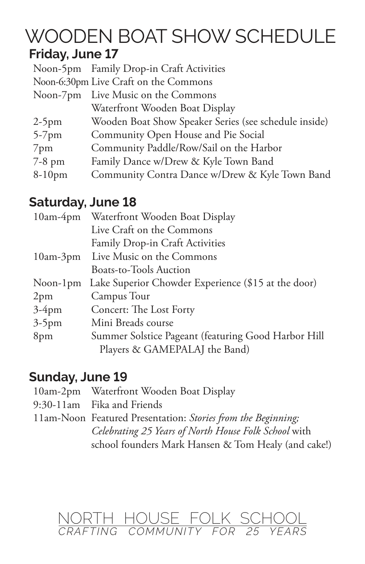# WOODEN BOAT SHOW SCHEDULE

#### **Friday, June 17**

|          | Noon-5pm Family Drop-in Craft Activities              |
|----------|-------------------------------------------------------|
|          | Noon-6:30pm Live Craft on the Commons                 |
|          | Noon-7pm Live Music on the Commons                    |
|          | Waterfront Wooden Boat Display                        |
| $2-5$ pm | Wooden Boat Show Speaker Series (see schedule inside) |
| $5-7$ pm | Community Open House and Pie Social                   |
| 7pm      | Community Paddle/Row/Sail on the Harbor               |
| 7-8 pm   | Family Dance w/Drew & Kyle Town Band                  |
| 8-10pm   | Community Contra Dance w/Drew & Kyle Town Band        |
|          |                                                       |

#### **Saturday, June 18**

| $10am-4pm$ | Waterfront Wooden Boat Display                      |
|------------|-----------------------------------------------------|
|            | Live Craft on the Commons                           |
|            | Family Drop-in Craft Activities                     |
|            | 10am-3pm Live Music on the Commons                  |
|            | <b>Boats-to-Tools Auction</b>                       |
| Noon-1pm   | Lake Superior Chowder Experience (\$15 at the door) |
| 2pm        | Campus Tour                                         |
| $3-4$ pm   | Concert: The Lost Forty                             |
| $3-5$ pm   | Mini Breads course                                  |
| 8pm        | Summer Solstice Pageant (featuring Good Harbor Hill |
|            | Players & GAMEPALAJ the Band)                       |
|            |                                                     |

#### **Sunday, June 19**

| 10am-2pm Waterfront Wooden Boat Display                      |
|--------------------------------------------------------------|
| 9:30-11am Fika and Friends                                   |
| 11am-Noon Featured Presentation: Stories from the Beginning; |
| Celebrating 25 Years of North House Folk School with         |
| school founders Mark Hansen & Tom Healy (and cake!)          |

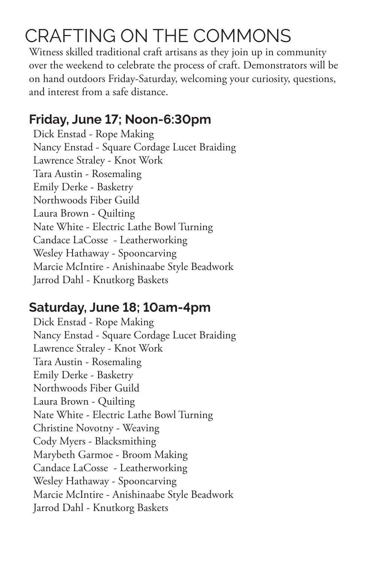## CRAFTING ON THE COMMONS

Witness skilled traditional craft artisans as they join up in community over the weekend to celebrate the process of craft. Demonstrators will be on hand outdoors Friday-Saturday, welcoming your curiosity, questions, and interest from a safe distance.

#### **Friday, June 17; Noon-6:30pm**

Dick Enstad - Rope Making Nancy Enstad - Square Cordage Lucet Braiding Lawrence Straley - Knot Work Tara Austin - Rosemaling Emily Derke - Basketry Northwoods Fiber Guild Laura Brown - Quilting Nate White - Electric Lathe Bowl Turning Candace LaCosse - Leatherworking Wesley Hathaway - Spooncarving Marcie McIntire - Anishinaabe Style Beadwork Jarrod Dahl - Knutkorg Baskets

#### **Saturday, June 18; 10am-4pm**

Dick Enstad - Rope Making Nancy Enstad - Square Cordage Lucet Braiding Lawrence Straley - Knot Work Tara Austin - Rosemaling Emily Derke - Basketry Northwoods Fiber Guild Laura Brown - Quilting Nate White - Electric Lathe Bowl Turning Christine Novotny - Weaving Cody Myers - Blacksmithing Marybeth Garmoe - Broom Making Candace LaCosse - Leatherworking Wesley Hathaway - Spooncarving Marcie McIntire - Anishinaabe Style Beadwork Jarrod Dahl - Knutkorg Baskets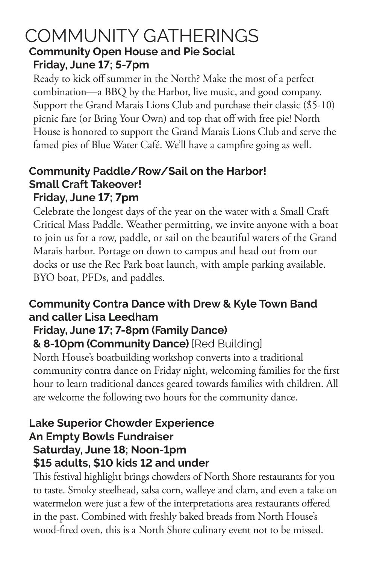#### COMMUNITY GATHERINGS **Community Open House and Pie Social Friday, June 17; 5-7pm**

Ready to kick off summer in the North? Make the most of a perfect combination—a BBQ by the Harbor, live music, and good company. Support the Grand Marais Lions Club and purchase their classic (\$5-10) picnic fare (or Bring Your Own) and top that off with free pie! North House is honored to support the Grand Marais Lions Club and serve the famed pies of Blue Water Café. We'll have a campfire going as well.

#### **Community Paddle/Row/Sail on the Harbor! Small Craft Takeover! Friday, June 17; 7pm**

Celebrate the longest days of the year on the water with a Small Craft Critical Mass Paddle. Weather permitting, we invite anyone with a boat to join us for a row, paddle, or sail on the beautiful waters of the Grand Marais harbor. Portage on down to campus and head out from our docks or use the Rec Park boat launch, with ample parking available. BYO boat, PFDs, and paddles.

#### **Community Contra Dance with Drew & Kyle Town Band and caller Lisa Leedham**

#### **Friday, June 17; 7-8pm (Family Dance)**

#### **& 8-10pm (Community Dance)** [Red Building]

North House's boatbuilding workshop converts into a traditional community contra dance on Friday night, welcoming families for the first hour to learn traditional dances geared towards families with children. All are welcome the following two hours for the community dance.

#### **Lake Superior Chowder Experience An Empty Bowls Fundraiser Saturday, June 18; Noon-1pm \$15 adults, \$10 kids 12 and under**

This festival highlight brings chowders of North Shore restaurants for you to taste. Smoky steelhead, salsa corn, walleye and clam, and even a take on watermelon were just a few of the interpretations area restaurants offered in the past. Combined with freshly baked breads from North House's wood-fired oven, this is a North Shore culinary event not to be missed.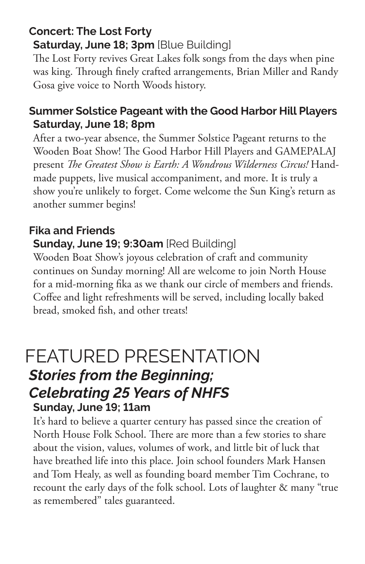#### **Concert: The Lost Forty Saturday, June 18; 3pm** [Blue Building]

The Lost Forty revives Great Lakes folk songs from the days when pine was king. Through finely crafted arrangements, Brian Miller and Randy Gosa give voice to North Woods history.

#### **Summer Solstice Pageant with the Good Harbor Hill Players Saturday, June 18; 8pm**

After a two-year absence, the Summer Solstice Pageant returns to the Wooden Boat Show! The Good Harbor Hill Players and GAMEPALAJ present *The Greatest Show is Earth: A Wondrous Wilderness Circus!* Handmade puppets, live musical accompaniment, and more. It is truly a show you're unlikely to forget. Come welcome the Sun King's return as another summer begins!

#### **Fika and Friends**

#### **Sunday, June 19; 9:30am** [Red Building]

Wooden Boat Show's joyous celebration of craft and community continues on Sunday morning! All are welcome to join North House for a mid-morning fika as we thank our circle of members and friends. Coffee and light refreshments will be served, including locally baked bread, smoked fish, and other treats!

### FEATURED PRESENTATION *Stories from the Beginning; Celebrating 25 Years of NHFS* **Sunday, June 19; 11am**

It's hard to believe a quarter century has passed since the creation of North House Folk School. There are more than a few stories to share about the vision, values, volumes of work, and little bit of luck that have breathed life into this place. Join school founders Mark Hansen and Tom Healy, as well as founding board member Tim Cochrane, to recount the early days of the folk school. Lots of laughter & many "true as remembered" tales guaranteed.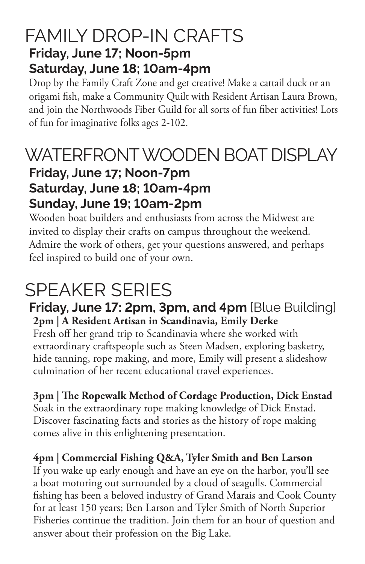### FAMILY DROP-IN CRAFTS **Friday, June 17; Noon-5pm Saturday, June 18; 10am-4pm**

Drop by the Family Craft Zone and get creative! Make a cattail duck or an origami fish, make a Community Quilt with Resident Artisan Laura Brown, and join the Northwoods Fiber Guild for all sorts of fun fiber activities! Lots of fun for imaginative folks ages 2-102.

#### WATERFRONT WOODEN BOAT DISPLAY **Friday, June 17; Noon-7pm Saturday, June 18; 10am-4pm Sunday, June 19; 10am-2pm**

Wooden boat builders and enthusiasts from across the Midwest are invited to display their crafts on campus throughout the weekend. Admire the work of others, get your questions answered, and perhaps feel inspired to build one of your own.

## SPEAKER SERIES

**Friday, June 17: 2pm, 3pm, and 4pm** [Blue Building] **2pm | A Resident Artisan in Scandinavia, Emily Derke**

Fresh off her grand trip to Scandinavia where she worked with extraordinary craftspeople such as Steen Madsen, exploring basketry, hide tanning, rope making, and more, Emily will present a slideshow culmination of her recent educational travel experiences.

**3pm | The Ropewalk Method of Cordage Production, Dick Enstad** Soak in the extraordinary rope making knowledge of Dick Enstad. Discover fascinating facts and stories as the history of rope making comes alive in this enlightening presentation.

**4pm | Commercial Fishing Q&A, Tyler Smith and Ben Larson** If you wake up early enough and have an eye on the harbor, you'll see a boat motoring out surrounded by a cloud of seagulls. Commercial fishing has been a beloved industry of Grand Marais and Cook County for at least 150 years; Ben Larson and Tyler Smith of North Superior Fisheries continue the tradition. Join them for an hour of question and answer about their profession on the Big Lake.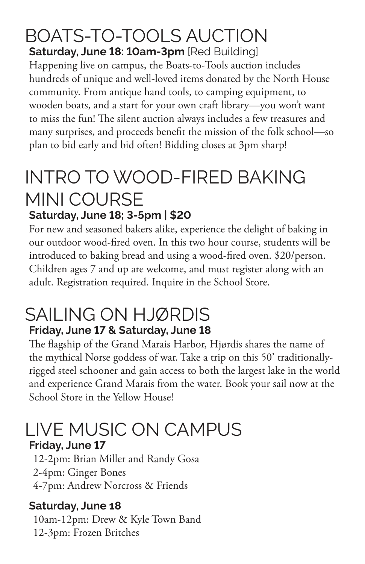#### BOATS-TO-TOOLS AUCTION **Saturday, June 18: 10am-3pm** [Red Building]

Happening live on campus, the Boats-to-Tools auction includes hundreds of unique and well-loved items donated by the North House community. From antique hand tools, to camping equipment, to wooden boats, and a start for your own craft library—you won't want to miss the fun! The silent auction always includes a few treasures and many surprises, and proceeds benefit the mission of the folk school—so plan to bid early and bid often! Bidding closes at 3pm sharp!

## INTRO TO WOOD-FIRED BAKING MINI COURSE **Saturday, June 18; 3-5pm | \$20**

For new and seasoned bakers alike, experience the delight of baking in our outdoor wood-fired oven. In this two hour course, students will be introduced to baking bread and using a wood-fired oven. \$20/person. Children ages 7 and up are welcome, and must register along with an adult. Registration required. Inquire in the School Store.

### SAILING ON HJØRDIS **Friday, June 17 & Saturday, June 18**

The flagship of the Grand Marais Harbor, Hjørdis shares the name of the mythical Norse goddess of war. Take a trip on this 50' traditionallyrigged steel schooner and gain access to both the largest lake in the world and experience Grand Marais from the water. Book your sail now at the School Store in the Yellow House!

## LIVE MUSIC ON CAMPUS

#### **Friday, June 17**

12-2pm: Brian Miller and Randy Gosa 2-4pm: Ginger Bones 4-7pm: Andrew Norcross & Friends

#### **Saturday, June 18**

10am-12pm: Drew & Kyle Town Band 12-3pm: Frozen Britches